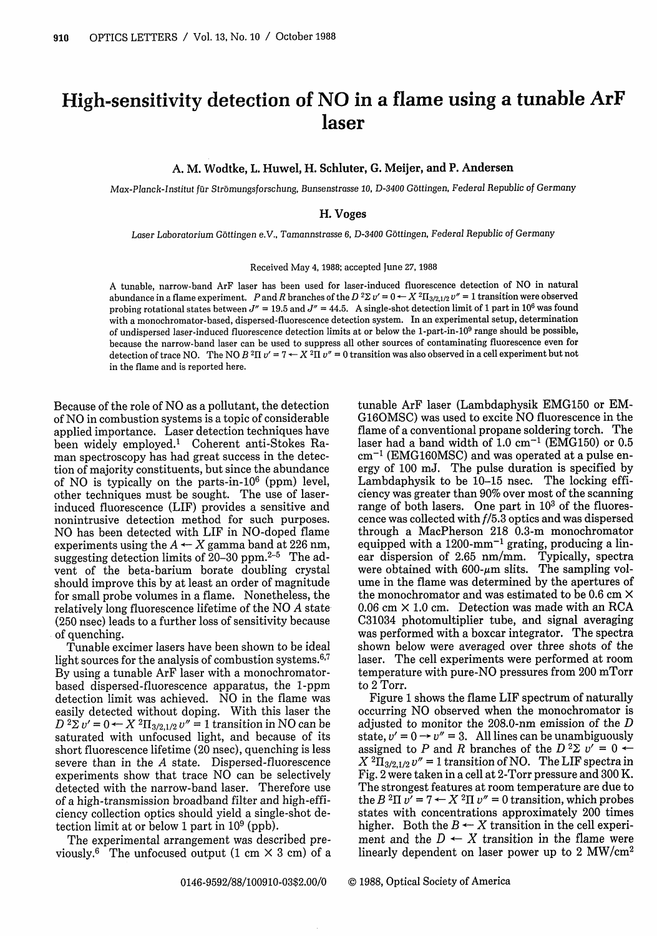## High-sensitivity detection of NO in a flame using a tunable ArF laser

A. M. **Wodtke, L. Huwel, H. Schluter, G. Meijer, and P. Andersen**

*Max-Planck-Institut fu~r Strbmungsforschung, Bunsenstrasse 10, D-3400* Gottingen, Federal Republic *of Germany*

## H. **Voges**

*Laser Laboratorium* Gottingen e.V., *Tamannstrasse 6, D-3400 Gottingen, Federal* Republic *of Germany*

Received May 4, 1988; accepted June 27, 1988

A tunable, narrow-band ArF laser has been used for laser-induced fluorescence detection of NO in natural abundance in a flame experiment. P and R branches of the  $D^2\Sigma v' = 0 \leftarrow X^2\Pi_{3/2,1/2} v'' = 1$  transition were observed probing rotational states between  $J'' = 19.5$  and  $J'' = 44.5$ . A single-shot detection limit of 1 part in 10<sup>6</sup> was found with a monochromator-based, dispersed-fluorescence detection system. In an experimental setup, determination of undispersed laser-induced fluorescence detection limits at or below the 1-part-in-10<sup>9</sup> range should be possible, because the narrow-band laser can be used to suppress all other sources of contaminating fluorescence even for detection of trace NO. The NO  $B$  <sup>2</sup>II  $v'$  = 7  $\leftarrow$  X  $^2$ II  $v''$  = 0 transition was also observed in a cell experiment but not in the flame and is reported here.

Because of the role of NO as a pollutant, the detection of NO in combustion systems is a topic of considerable applied importance. Laser detection techniques have been widely employed.' Coherent anti-Stokes Raman spectroscopy has had great success in the detection of majority constituents, but since the abundance of NO is typically on the parts-in- $10^6$  (ppm) level, other techniques must be sought. The use of laserinduced fluorescence (LIF) provides a sensitive and nonintrusive detection method for such purposes. NO has been detected with LIF in NO-doped flame experiments using the  $A \leftarrow X$  gamma band at 226 nm, suggesting detection limits of 20-30 ppm.2-5 The advent of the beta-barium borate doubling crystal should improve this by at least an order of magnitude for small probe volumes in a flame. Nonetheless, the relatively long fluorescence lifetime of the NO *A* state (250 nsec) leads to a further loss of sensitivity because of quenching.

Tunable excimer lasers have been shown to be ideal light sources for the analysis of combustion systems.<sup>6,7</sup> By using a tunable ArF laser with a monochromatorbased dispersed-fluorescence apparatus, the 1-ppm detection limit was achieved. NO in the flame was easily detected without doping. With this laser the  $D^{2}\Sigma v' = 0 \leftarrow X^{2}\Pi_{3/2,1/2} v'' = 1$  transition in NO can be saturated with unfocused light, and because of its short fluorescence lifetime (20 nsec), quenching is less severe than in the A state. Dispersed-fluorescence experiments show that trace NO can be selectively detected with the narrow-band laser. Therefore use of a high-transmission broadband filter and high-efficiency collection optics should yield a single-shot detection limit at or below 1 part in  $10^9$  (ppb).

The experimental arrangement was described previously.<sup>6</sup> The unfocused output  $(1 \text{ cm} \times 3 \text{ cm})$  of a tunable ArF laser (Lambdaphysik EMG150 or EM-G16OMSC) was used to excite NO fluorescence in the flame of a conventional propane soldering torch. The laser had a band width of  $1.0 \text{ cm}^{-1}$  (EMG150) or 0.5  $cm^{-1}$  (EMG160MSC) and was operated at a pulse energy of 100 mJ. The pulse duration is specified by Lambdaphysik to be 10-15 nsec. The locking efficiency was greater than 90% over most of the scanning range of both lasers. One part in  $10<sup>3</sup>$  of the fluorescence was collected with f/5.3 optics and was dispersed through a MacPherson 218 0.3-m monochromator equipped with a  $1200\text{-mm}^{-1}$  grating, producing a linear dispersion of 2.65 nm/mm. Typically, spectra were obtained with  $600$ - $\mu$ m slits. The sampling volume in the flame was determined by the apertures of the monochromator and was estimated to be 0.6 cm X  $0.06$  cm  $\times$  1.0 cm. Detection was made with an RCA C31034 photomultiplier tube, and signal averaging was performed with a boxcar integrator. The spectra shown below were averaged over three shots of the laser. The cell experiments were performed at room temperature with pure-NO pressures from 200 mTorr to 2 Torr.

Figure 1 shows the flame LIF spectrum of naturally occurring NO observed when the monochromator is adjusted to monitor the 208.0-nm emission of the *D* state,  $v' = 0 \rightarrow v'' = 3$ . All lines can be unambiguously assigned to P and R branches of the  $D^2\Sigma v' = 0$   $\leftarrow$  $X^{2}\Pi_{3/2,1/2}v'' = 1$  transition of NO. The LIF spectra in Fig. 2 were taken in a cell at 2-Torr pressure and 300 K. The strongest features at room temperature are due to the B<sup>2</sup>II  $v' = 7 \leftarrow X$ <sup>2</sup>II  $v'' = 0$  transition, which probes states with concentrations approximately 200 times higher. Both the  $B \leftarrow X$  transition in the cell experiment and the  $D \leftarrow X$  transition in the flame were linearly dependent on laser power up to 2 MW/cm2

0146-9592/88/100910-03\$2.00/0 © 1988, Optical Society of America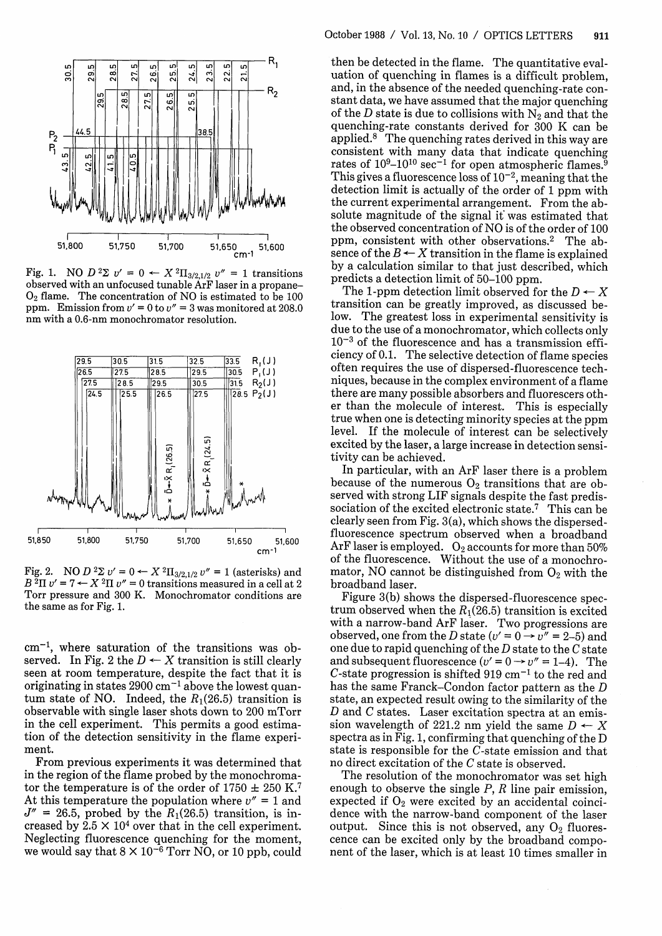

Fig. 1. NO  $D^2\Sigma v' = 0 \leftarrow X^2\Pi_{3/2,1/2} v'' = 1$  transitions observed with an unfocused tunable ArF laser in a propane-**02** flame. The concentration of ppm. Emission from  $v' = 0$  to  $v'' = 3$  was monitored at 208.0 nm with a 0.6-nm monochromator resolution.



Fig. 2. NO  $D^2\Sigma v' = 0 \leftarrow X^2\Pi_{3}$  $B^2\Pi v' = 7 \leftarrow X^2\Pi v'' = 0$  transitions measured in a cell at 2 broadband laser. Torr pressure and 300 K. Monochromator conditions are the same as for Fig. 1.

 $cm<sup>-1</sup>$ , where saturation of the transitions was observed. In Fig. 2 the  $D \leftarrow X$  transition is still clearly seen at room temperature, despite the fact that it is originating in states  $2900 \text{ cm}^{-1}$  above the lowest quantum state of NO. Indeed, the  $R_1(26.5)$  transition is observable with single laser shots down to 200 mTorr in the cell experiment. This permits a good estimation of the detection sensitiv ment.

From previous experiments it was determined that in the region of the flame probed by the monochromator the temperature is of the order of 1750  $\pm$  250 K.<sup>7</sup> At this temperature the population where  $v'' = 1$  and  $J'' = 26.5$ , probed by the  $R_1(26.5)$  transition, is increased by  $2.5 \times 10^4$  over that in the cell experiment. Neglecting fluorescence quenching for the moment, we would say that  $8 \times 10^{-6}$  Torr NO, or 10 ppb, could

 $\begin{array}{c}\n\mathbb{E}\begin{bmatrix}\n\mathbb{E}\begin{bmatrix}\n\mathbb{E}\begin{bmatrix}\n\mathbb{E}\begin{bmatrix}\n\mathbb{E}\begin{bmatrix}\n\mathbb{E}\begin{bmatrix}\n\mathbb{E}\begin{bmatrix}\n\mathbb{E}\begin{bmatrix}\n\mathbb{E}\begin{bmatrix}\n\mathbb{E}\begin{bmatrix}\n\mathbb{E}\end{bmatrix}\n\end{bmatrix}\n\end{bmatrix}} \\
\mathbb{E}\begin{bmatrix}\n\mathbb{E}\begin{bmatrix}\n\mathbb{E}\begin{bmatrix}\n\mathbb{E}\begin{bmatrix}\n\mathbb{E}\end{bmatrix}\n\end{bmatrix}\$  $\begin{array}{c|c}\n\hline\n\text{or} \\
\hline\n\text{or} \\
\text{or} \\
\text{or} \\
\hline\n\end{array}$   $\begin{array}{c}\n\text{and, in the absence of the needed quenching-rate} \\
\text{start data, we have assumed that the major quenching of the } D \text{ state is due to collisions with N}_2 \text{ and that the quenching-rate constants derived for 300 K can be\n\end{array}$  $\frac{38.5}{28.5}$  applied.<sup>8</sup> The quenching rates derived for 300 K can be applied.<sup>8</sup> The quenching rates derived in this way are consistent with many data that indicate quenching rates of  $10^9-10^{10}$  sec<sup>-1</sup> for open atmospheric flames.<sup>9</sup> This gives a fluorescence loss of  $10^{-2}$ , meaning that the detection limit is actually of the order of 1 ppm with the current experimental arrangement. From the absolute magnitude of the signal if was estimated that the observed concentration of NO is of the order of 100 ppm, consistent with other observations.<sup>2</sup> The ab-51,650 51,600 ppm, consistent with other observations.<sup>2</sup> The ab-<br>sence of the  $B \leftarrow X$  transition in the flame is explained by a calculation similar to that just described, which predicts a detection limit of 50-100 ppm.

The 1-ppm detection limit observed for the  $D \leftarrow X$  transition can be greatly improved, as discussed below. The greatest loss in experimental sensitivity is due to the use of a monochromator, which collects only  $10^{-3}$  of the fluorescence and has a transmission efficiency of 0.1. The selective detection of flame species  $\frac{32.5}{23.5}$   $\frac{33.5}{30.5}$   $\frac{R_1(1)}{R_1(1)}$  often requires the use of dispersed-fluorescence tech-<br> $\frac{30.5}{27.5}$   $\frac{31.5}{28.5}$   $\frac{R_2(1)}{R_2(1)}$  niques, because in the complex environment of a flame er than the molecule of interest. This is especially true when one is detecting minority species at the ppm level. If the molecule of interest can be selectively excited by the laser, a large increase in detection sensitivity can be achieved. lX .xI 11In particular, with an ArF laser there is a problem

because of the numerous  $O_2$  transitions that are observed with strong LIF signals despite the fast predissociation of the excited electronic state.<sup>7</sup> This can be clearly seen from Fig. 3(a), which shows the dispersed- $\frac{1}{51,700}$  51,650 51,600 fluorescence spectrum observed when a broadband  $51,500$  ArF laser is employed. O<sub>2</sub> accounts for more than 50% of the fluorescence. Without the use of a monochromator, NO cannot be distinguished from  $O_2$  with the broadband laser.

> Figure 3(b) shows the dispersed-fluorescence spectrum observed when the  $R_1(26.5)$  transition is excited with a narrow-band ArF laser. Two progressions are observed, one from the D state  $(v' = 0 \rightarrow v'' = 2-5)$  and one due to rapid quenching of the *D* state to the *C* state and subsequent fluorescence  $(v' = 0 \rightarrow v'' = 1-4)$ . The C-state progression is shifted 919  $cm^{-1}$  to the red and has the same Franck-Condon factor pattern as the *D* state, an expected result owing to the similarity of the  $D$  and  $C$  states. Laser excitation spectra at an emission wavelength of 221.2 nm yield the same  $D \leftarrow X$ spectra as in Fig. 1, confirming that quenching of the  $D$ state is responsible for the C-state emission and that no direct excitation of the  $C$  state is observed.

> The resolution of the monochromator was set high enough to observe the single *P*, *R* line pair emission, expected if O<sub>2</sub> were excited by an accidental coincidence with the narrow-band component of the laser output. Since this is not observed, any  $O_2$  fluorescence can be excited only by the broadband component of the laser, which is at least 10 times smaller in